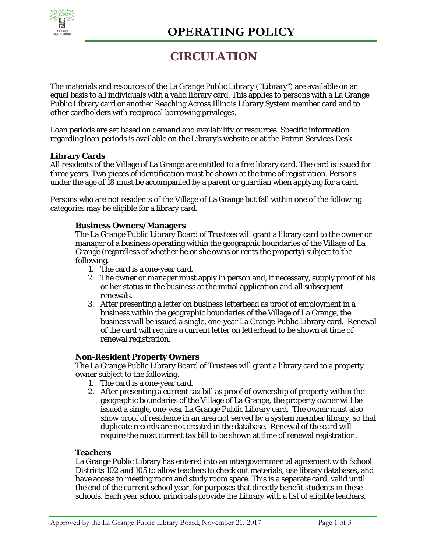

# **CIRCULATION**

The materials and resources of the La Grange Public Library ("Library") are available on an equal basis to all individuals with a valid library card. This applies to persons with a La Grange Public Library card or another Reaching Across Illinois Library System member card and to other cardholders with reciprocal borrowing privileges.

Loan periods are set based on demand and availability of resources. Specific information regarding loan periods is available on the Library's website or at the Patron Services Desk.

# **Library Cards**

All residents of the Village of La Grange are entitled to a free library card. The card is issued for three years. Two pieces of identification must be shown at the time of registration. Persons under the age of 18 must be accompanied by a parent or guardian when applying for a card.

Persons who are not residents of the Village of La Grange but fall within one of the following categories may be eligible for a library card.

## **Business Owners/Managers**

The La Grange Public Library Board of Trustees will grant a library card to the owner or manager of a business operating within the geographic boundaries of the Village of La Grange (regardless of whether he or she owns or rents the property) subject to the following.

- 1. The card is a one-year card.
- 2. The owner or manager must apply in person and, if necessary, supply proof of his or her status in the business at the initial application and all subsequent renewals.
- 3. After presenting a letter on business letterhead as proof of employment in a business within the geographic boundaries of the Village of La Grange, the business will be issued a single, one-year La Grange Public Library card. Renewal of the card will require a current letter on letterhead to be shown at time of renewal registration.

## **Non-Resident Property Owners**

The La Grange Public Library Board of Trustees will grant a library card to a property owner subject to the following.

- 1. The card is a one-year card.
- 2. After presenting a current tax bill as proof of ownership of property within the geographic boundaries of the Village of La Grange, the property owner will be issued a single, one-year La Grange Public Library card. The owner must also show proof of residence in an area not served by a system member library, so that duplicate records are not created in the database. Renewal of the card will require the most current tax bill to be shown at time of renewal registration.

## **Teachers**

La Grange Public Library has entered into an intergovernmental agreement with School Districts 102 and 105 to allow teachers to check out materials, use library databases, and have access to meeting room and study room space. This is a separate card, valid until the end of the current school year, for purposes that directly benefit students in these schools. Each year school principals provide the Library with a list of eligible teachers.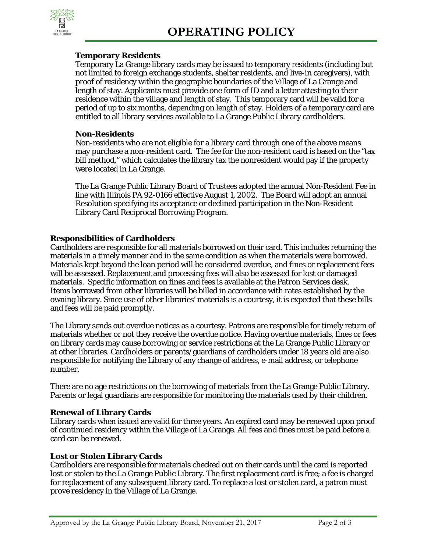

# **Temporary Residents**

Temporary La Grange library cards may be issued to temporary residents (including but not limited to foreign exchange students, shelter residents, and live-in caregivers), with proof of residency within the geographic boundaries of the Village of La Grange and length of stay. Applicants must provide one form of ID and a letter attesting to their residence within the village and length of stay. This temporary card will be valid for a period of up to six months, depending on length of stay. Holders of a temporary card are entitled to all library services available to La Grange Public Library cardholders.

## **Non-Residents**

Non-residents who are not eligible for a library card through one of the above means may purchase a non-resident card. The fee for the non-resident card is based on the "tax bill method," which calculates the library tax the nonresident would pay if the property were located in La Grange.

The La Grange Public Library Board of Trustees adopted the annual Non-Resident Fee in line with Illinois PA 92-0166 effective August 1, 2002. The Board will adopt an annual Resolution specifying its acceptance or declined participation in the Non-Resident Library Card Reciprocal Borrowing Program.

# **Responsibilities of Cardholders**

Cardholders are responsible for all materials borrowed on their card. This includes returning the materials in a timely manner and in the same condition as when the materials were borrowed. Materials kept beyond the loan period will be considered overdue, and fines or replacement fees will be assessed. Replacement and processing fees will also be assessed for lost or damaged materials. Specific information on fines and fees is available at the Patron Services desk. Items borrowed from other libraries will be billed in accordance with rates established by the owning library. Since use of other libraries' materials is a courtesy, it is expected that these bills and fees will be paid promptly.

The Library sends out overdue notices as a courtesy. Patrons are responsible for timely return of materials whether or not they receive the overdue notice. Having overdue materials, fines or fees on library cards may cause borrowing or service restrictions at the La Grange Public Library or at other libraries. Cardholders or parents/guardians of cardholders under 18 years old are also responsible for notifying the Library of any change of address, e-mail address, or telephone number.

There are no age restrictions on the borrowing of materials from the La Grange Public Library. Parents or legal guardians are responsible for monitoring the materials used by their children.

# **Renewal of Library Cards**

Library cards when issued are valid for three years. An expired card may be renewed upon proof of continued residency within the Village of La Grange. All fees and fines must be paid before a card can be renewed.

# **Lost or Stolen Library Cards**

Cardholders are responsible for materials checked out on their cards until the card is reported lost or stolen to the La Grange Public Library. The first replacement card is free; a fee is charged for replacement of any subsequent library card. To replace a lost or stolen card, a patron must prove residency in the Village of La Grange.